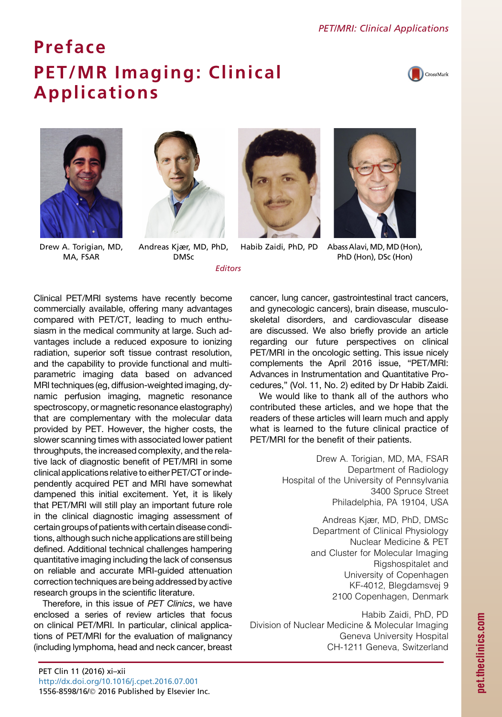## **Preface PET/MR Imaging: Clinical** PET/MR Imaging: Clinical Applications







Drew A. Torigian, MD, MA, FSAR

Andreas Kjær, MD, PhD, DMSc

Editors







Habib Zaidi, PhD, PD Abass Alavi, MD, MD (Hon), PhD (Hon), DSc (Hon)

Clinical PET/MRI systems have recently become commercially available, offering many advantages compared with PET/CT, leading to much enthusiasm in the medical community at large. Such advantages include a reduced exposure to ionizing radiation, superior soft tissue contrast resolution, and the capability to provide functional and multiparametric imaging data based on advanced MRI techniques (eg, diffusion-weighted imaging, dynamic perfusion imaging, magnetic resonance spectroscopy, or magnetic resonance elastography) that are complementary with the molecular data provided by PET. However, the higher costs, the slower scanning times with associated lower patient throughputs, the increased complexity, and the relative lack of diagnostic benefit of PET/MRI in some clinical applications relative to either PET/CT or independently acquired PET and MRI have somewhat dampened this initial excitement. Yet, it is likely that PET/MRI will still play an important future role in the clinical diagnostic imaging assessment of certain groups of patients with certain disease conditions, although such niche applications are still being defined. Additional technical challenges hampering quantitative imaging including the lack of consensus on reliable and accurate MRI-guided attenuation correction techniques are being addressed by active research groups in the scientific literature.

Therefore, in this issue of *PET Clinics*, we have enclosed a series of review articles that focus on clinical PET/MRI. In particular, clinical applications of PET/MRI for the evaluation of malignancy (including lymphoma, head and neck cancer, breast cancer, lung cancer, gastrointestinal tract cancers, and gynecologic cancers), brain disease, musculoskeletal disorders, and cardiovascular disease are discussed. We also briefly provide an article regarding our future perspectives on clinical PET/MRI in the oncologic setting. This issue nicely complements the April 2016 issue, "PET/MRI: Advances in Instrumentation and Quantitative Procedures," (Vol. 11, No. 2) edited by Dr Habib Zaidi.

We would like to thank all of the authors who contributed these articles, and we hope that the readers of these articles will learn much and apply what is learned to the future clinical practice of PET/MRI for the benefit of their patients.

> Drew A. Torigian, MD, MA, FSAR Department of Radiology Hospital of the University of Pennsylvania 3400 Spruce Street Philadelphia, PA 19104, USA

> > Andreas Kjær, MD, PhD, DMSc Department of Clinical Physiology Nuclear Medicine & PET and Cluster for Molecular Imaging Rigshospitalet and University of Copenhagen KF-4012, Blegdamsvej 9 2100 Copenhagen, Denmark

Habib Zaidi, PhD, PD Division of Nuclear Medicine & Molecular Imaging Geneva University Hospital CH-1211 Geneva, Switzerland